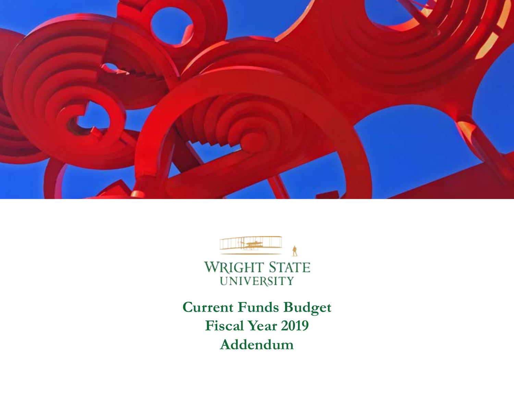



**Current Funds Budget Fiscal Year 2019 Addendum**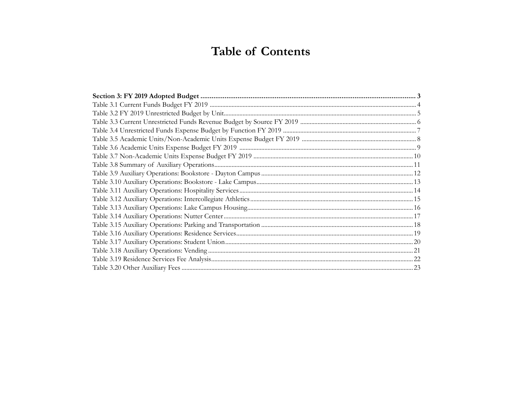# **Table of Contents**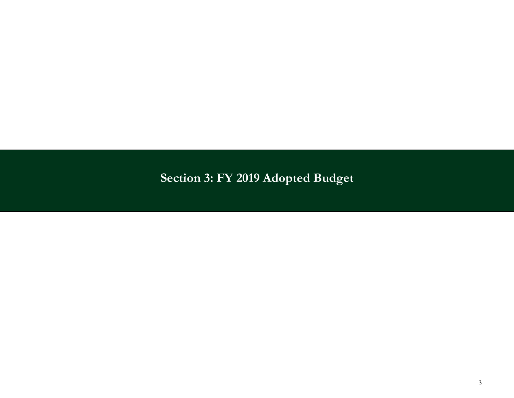# <span id="page-2-0"></span>**Section 3: FY 2019 Adopted Budget**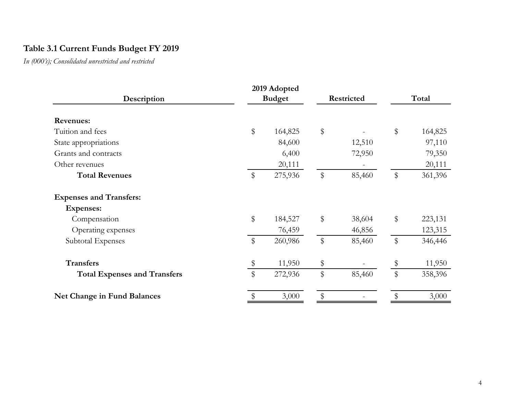#### <span id="page-3-0"></span>**Table 3.1 Current Funds Budget FY 2019**

*In (000's); Consolidated unrestricted and restricted*

|                                     |       | 2019 Adopted  |       |            |       |         |  |
|-------------------------------------|-------|---------------|-------|------------|-------|---------|--|
| Description                         |       | <b>Budget</b> |       | Restricted |       | Total   |  |
| <b>Revenues:</b>                    |       |               |       |            |       |         |  |
| Tuition and fees                    | \$    | 164,825       | \$    |            | $\$\$ | 164,825 |  |
| State appropriations                |       | 84,600        |       | 12,510     |       | 97,110  |  |
| Grants and contracts                |       | 6,400         |       | 72,950     |       | 79,350  |  |
| Other revenues                      |       | 20,111        |       |            |       | 20,111  |  |
| <b>Total Revenues</b>               | \$    | 275,936       | \$    | 85,460     | \$    | 361,396 |  |
| <b>Expenses and Transfers:</b>      |       |               |       |            |       |         |  |
| <b>Expenses:</b>                    |       |               |       |            |       |         |  |
| Compensation                        | \$    | 184,527       | \$    | 38,604     | \$    | 223,131 |  |
| Operating expenses                  |       | 76,459        |       | 46,856     |       | 123,315 |  |
| Subtotal Expenses                   | $\$\$ | 260,986       | $\$\$ | 85,460     | $\$\$ | 346,446 |  |
| <b>Transfers</b>                    | \$    | 11,950        | \$    |            | \$    | 11,950  |  |
| <b>Total Expenses and Transfers</b> | \$    | 272,936       | \$    | 85,460     | \$    | 358,396 |  |
| Net Change in Fund Balances         | \$    | 3,000         | \$    |            |       | 3,000   |  |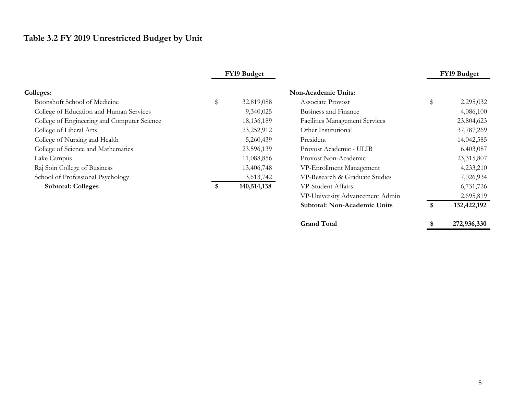## <span id="page-4-0"></span>**Table 3.2 FY 2019 Unrestricted Budget by Unit**

|                                             | FY19 Budget       |                                       | FY19 Budget       |
|---------------------------------------------|-------------------|---------------------------------------|-------------------|
| <b>Colleges:</b>                            |                   | <b>Non-Academic Units:</b>            |                   |
| Boonshoft School of Medicine                | \$<br>32,819,088  | Associate Provost                     | \$<br>2,295,032   |
| College of Education and Human Services     | 9,340,025         | Business and Finance                  | 4,086,100         |
| College of Engineering and Computer Science | 18, 136, 189      | <b>Facilities Management Services</b> | 23,804,623        |
| College of Liberal Arts                     | 23,252,912        | Other Institutional                   | 37,787,269        |
| College of Nursing and Health               | 5,260,439         | President                             | 14,042,585        |
| College of Science and Mathematics          | 23,596,139        | Provost Academic - ULIB               | 6,403,087         |
| Lake Campus                                 | 11,088,856        | Provost Non-Academic                  | 23,315,807        |
| Raj Soin College of Business                | 13,406,748        | VP-Enrollment Management              | 4,233,210         |
| School of Professional Psychology           | 3,613,742         | VP-Research & Graduate Studies        | 7,026,934         |
| <b>Subtotal: Colleges</b>                   | \$<br>140,514,138 | VP-Student Affairs                    | 6,731,726         |
|                                             |                   | VP-University Advancement Admin       | 2,695,819         |
|                                             |                   | Subtotal: Non-Academic Units          | \$<br>132,422,192 |
|                                             |                   | <b>Grand Total</b>                    | \$<br>272,936,330 |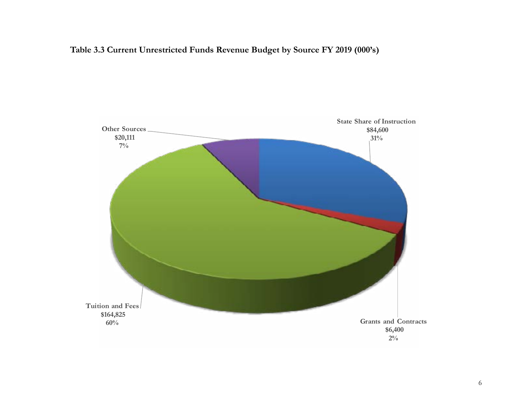#### <span id="page-5-0"></span>**Table 3.3 Current Unrestricted Funds Revenue Budget by Source FY 2019 (000's)**

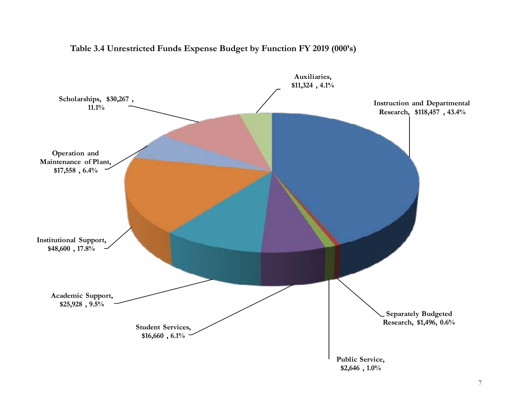<span id="page-6-0"></span>

#### **Table 3.4 Unrestricted Funds Expense Budget by Function FY 2019 (000's)**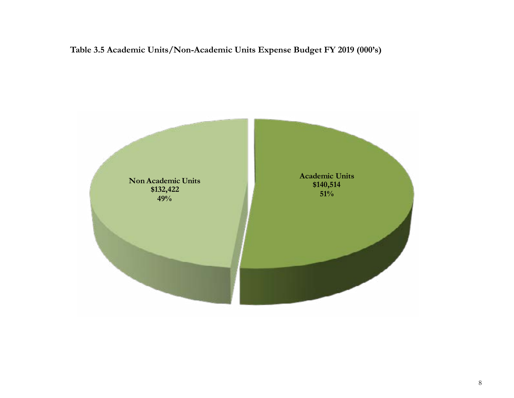<span id="page-7-0"></span>**Table 3.5 Academic Units/Non-Academic Units Expense Budget FY 2019 (000's)** 

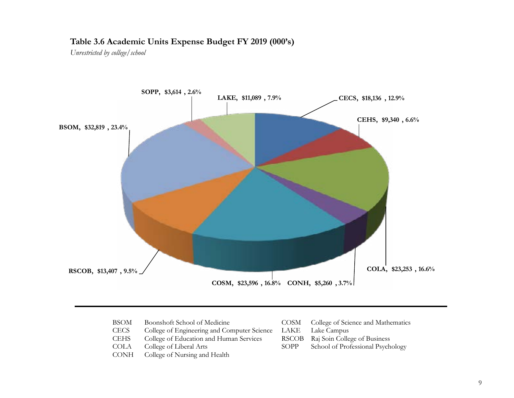#### <span id="page-8-0"></span>**Table 3.6 Academic Units Expense Budget FY 2019 (000's)**

*Unrestricted by college/school*



| Boonshoft School of Medicine<br>BSOM |  |
|--------------------------------------|--|
|--------------------------------------|--|

- CECS College of Engineering and Computer Science LAKE Lake Campus<br>CEHS College of Education and Human Services RSCOB Raj Soin College of Business
- College of Education and Human Services
- 
- College of Nursing and Health
- COSM College of Science and Mathematics
	-
	-
- COLA College of Liberal Arts SOPP School of Professional Psychology<br>CONH College of Nursing and Health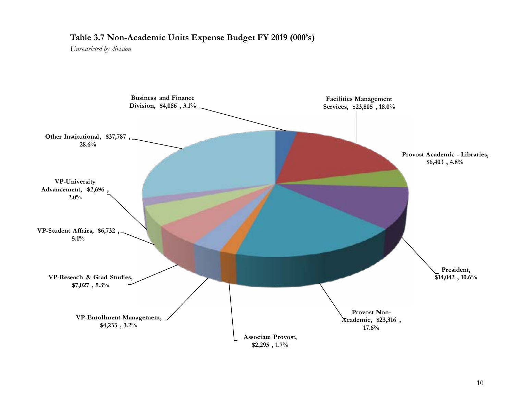#### <span id="page-9-0"></span>**Table 3.7 Non-Academic Units Expense Budget FY 2019 (000's)**

*Unrestricted by division*

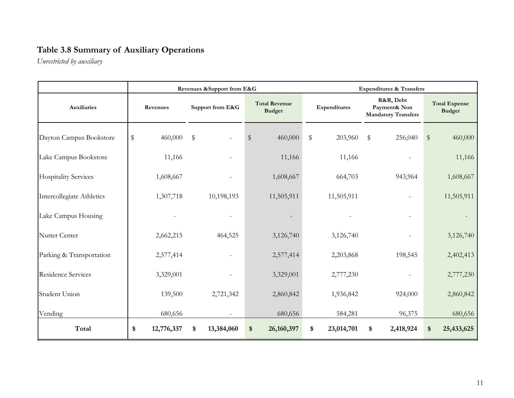#### <span id="page-10-0"></span>**Table 3.8 Summary of Auxiliary Operations**

*Unrestricted by auxiliary*

|                             |                  | Revenues & Support from E&G |                                       |                  | <b>Expenditures &amp; Transfers</b>                     |                                       |  |  |
|-----------------------------|------------------|-----------------------------|---------------------------------------|------------------|---------------------------------------------------------|---------------------------------------|--|--|
| <b>Auxiliaries</b>          | Revenues         | Support from E&G            | <b>Total Revenue</b><br><b>Budget</b> | Expenditures     | R&R, Debt<br>Payment& Non<br><b>Mandatory Transfers</b> | <b>Total Expense</b><br><b>Budget</b> |  |  |
| Dayton Campus Bookstore     | \$<br>460,000    | $\sqrt[6]{\frac{1}{2}}$     | 460,000<br>\$                         | \$<br>203,960    | \$<br>256,040                                           | $\$\$<br>460,000                      |  |  |
| Lake Campus Bookstore       | 11,166           |                             | 11,166                                | 11,166           |                                                         | 11,166                                |  |  |
| <b>Hospitality Services</b> | 1,608,667        |                             | 1,608,667                             | 664,703          | 943,964                                                 | 1,608,667                             |  |  |
| Intercollegiate Athletics   | 1,307,718        | 10,198,193                  | 11,505,911                            | 11,505,911       |                                                         | 11,505,911                            |  |  |
| Lake Campus Housing         |                  |                             |                                       |                  | $\overline{\phantom{0}}$                                |                                       |  |  |
| Nutter Center               | 2,662,215        | 464,525                     | 3,126,740                             | 3,126,740        |                                                         | 3,126,740                             |  |  |
| Parking & Transportation    | 2,577,414        |                             | 2,577,414                             | 2,203,868        | 198,545                                                 | 2,402,413                             |  |  |
| <b>Residence Services</b>   | 3,329,001        |                             | 3,329,001                             | 2,777,230        |                                                         | 2,777,230                             |  |  |
| Student Union               | 139,500          | 2,721,342                   | 2,860,842                             | 1,936,842        | 924,000                                                 | 2,860,842                             |  |  |
| Vending                     | 680,656          |                             | 680,656                               | 584,281          | 96,375                                                  | 680,656                               |  |  |
| Total                       | \$<br>12,776,337 | 13,384,060<br>S             | \$<br>26,160,397                      | 23,014,701<br>\$ | 2,418,924<br>\$                                         | 25,433,625<br>\$                      |  |  |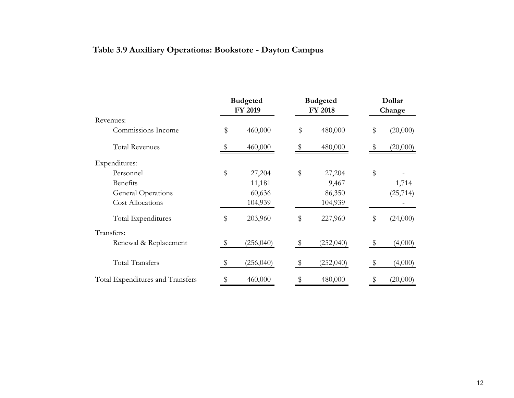### <span id="page-11-0"></span>**Table 3.9 Auxiliary Operations: Bookstore - Dayton Campus**

|                                  | <b>Budgeted</b><br>FY 2019 |            | <b>Budgeted</b><br><b>FY 2018</b> |           | Dollar<br>Change |           |
|----------------------------------|----------------------------|------------|-----------------------------------|-----------|------------------|-----------|
| Revenues:                        |                            |            |                                   |           |                  |           |
| Commissions Income               | \$                         | 460,000    | \$                                | 480,000   | \$               | (20,000)  |
| <b>Total Revenues</b>            | \$                         | 460,000    |                                   | 480,000   |                  | (20,000)  |
| Expenditures:                    |                            |            |                                   |           |                  |           |
| Personnel                        | \$                         | 27,204     | \$                                | 27,204    | \$               |           |
| <b>Benefits</b>                  |                            | 11,181     |                                   | 9,467     |                  | 1,714     |
| <b>General Operations</b>        |                            | 60,636     |                                   | 86,350    |                  | (25, 714) |
| <b>Cost Allocations</b>          |                            | 104,939    |                                   | 104,939   |                  |           |
| Total Expenditures               | \$                         | 203,960    | \$                                | 227,960   | \$               | (24,000)  |
| Transfers:                       |                            |            |                                   |           |                  |           |
| Renewal & Replacement            | \$                         | (256, 040) | \$.                               | (252,040) | \$               | (4,000)   |
| <b>Total Transfers</b>           | \$                         | (256, 040) | \$                                | (252,040) | \$               | (4,000)   |
| Total Expenditures and Transfers | \$                         | 460,000    | \$                                | 480,000   |                  | (20,000)  |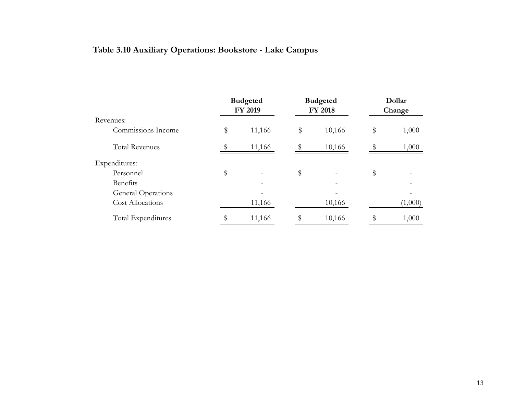### <span id="page-12-0"></span>**Table 3.10 Auxiliary Operations: Bookstore - Lake Campus**

|                         | <b>Budgeted</b><br>FY 2019 |        | <b>Budgeted</b><br><b>FY 2018</b> | Dollar<br>Change |         |  |
|-------------------------|----------------------------|--------|-----------------------------------|------------------|---------|--|
| Revenues:               |                            |        |                                   |                  |         |  |
| Commissions Income      |                            | 11,166 | 10,166                            |                  | 1,000   |  |
| <b>Total Revenues</b>   |                            | 11,166 | 10,166                            |                  | 1,000   |  |
| Expenditures:           |                            |        |                                   |                  |         |  |
| Personnel               | \$                         |        | \$                                | \$               |         |  |
| <b>Benefits</b>         |                            |        |                                   |                  |         |  |
| General Operations      |                            |        |                                   |                  |         |  |
| <b>Cost Allocations</b> |                            | 11,166 | 10,166                            |                  | (1,000) |  |
| Total Expenditures      |                            | 11,166 | 10,166                            |                  | 1,000   |  |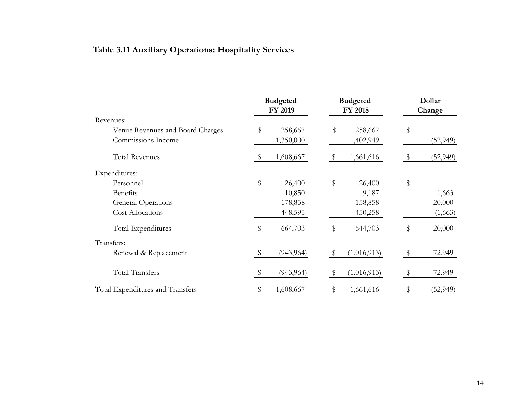### <span id="page-13-0"></span>**Table 3.11 Auxiliary Operations: Hospitality Services**

|                                  | <b>Budgeted</b><br>FY 2019 |    | <b>Budgeted</b><br><b>FY 2018</b> |    | Dollar<br>Change |
|----------------------------------|----------------------------|----|-----------------------------------|----|------------------|
| Revenues:                        |                            |    |                                   |    |                  |
| Venue Revenues and Board Charges | \$<br>258,667              | \$ | 258,667                           | \$ |                  |
| Commissions Income               | 1,350,000                  |    | 1,402,949                         |    | (52, 949)        |
| <b>Total Revenues</b>            | 1,608,667                  |    | 1,661,616                         |    | (52, 949)        |
| Expenditures:                    |                            |    |                                   |    |                  |
| Personnel                        | \$<br>26,400               | \$ | 26,400                            | \$ |                  |
| Benefits                         | 10,850                     |    | 9,187                             |    | 1,663            |
| General Operations               | 178,858                    |    | 158,858                           |    | 20,000           |
| <b>Cost Allocations</b>          | 448,595                    |    | 450,258                           |    | (1,663)          |
| Total Expenditures               | \$<br>664,703              | \$ | 644,703                           | \$ | 20,000           |
| Transfers:                       |                            |    |                                   |    |                  |
| Renewal & Replacement            | \$<br>(943, 964)           | \$ | (1,016,913)                       |    | 72,949           |
| <b>Total Transfers</b>           | \$<br>(943, 964)           | S  | (1,016,913)                       | S  | 72,949           |
| Total Expenditures and Transfers | \$<br>1,608,667            |    | 1,661,616                         |    | (52, 949)        |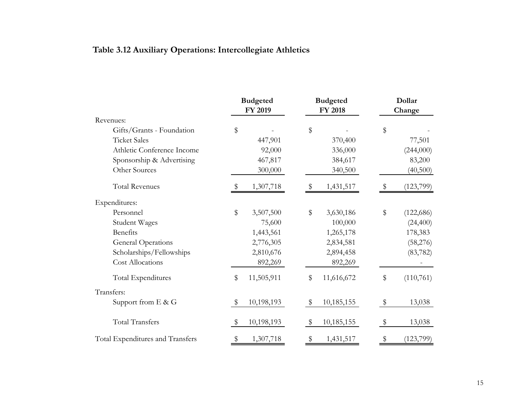### <span id="page-14-0"></span>**Table 3.12 Auxiliary Operations: Intercollegiate Athletics**

|                                  | <b>Budgeted</b><br>FY 2019 |            | <b>Budgeted</b><br><b>FY 2018</b> |            | Dollar<br>Change |            |
|----------------------------------|----------------------------|------------|-----------------------------------|------------|------------------|------------|
| Revenues:                        |                            |            |                                   |            |                  |            |
| Gifts/Grants - Foundation        | \$                         |            | \$                                |            | \$               |            |
| <b>Ticket Sales</b>              |                            | 447,901    |                                   | 370,400    |                  | 77,501     |
| Athletic Conference Income       |                            | 92,000     |                                   | 336,000    |                  | (244,000)  |
| Sponsorship & Advertising        |                            | 467,817    |                                   | 384,617    |                  | 83,200     |
| Other Sources                    |                            | 300,000    |                                   | 340,500    |                  | (40,500)   |
| <b>Total Revenues</b>            |                            | 1,307,718  |                                   | 1,431,517  |                  | (123,799)  |
| Expenditures:                    |                            |            |                                   |            |                  |            |
| Personnel                        | \$                         | 3,507,500  | $\$\$                             | 3,630,186  | \$               | (122, 686) |
| <b>Student Wages</b>             |                            | 75,600     |                                   | 100,000    |                  | (24, 400)  |
| Benefits                         |                            | 1,443,561  |                                   | 1,265,178  |                  | 178,383    |
| <b>General Operations</b>        |                            | 2,776,305  |                                   | 2,834,581  |                  | (58,276)   |
| Scholarships/Fellowships         |                            | 2,810,676  |                                   | 2,894,458  |                  | (83, 782)  |
| <b>Cost Allocations</b>          |                            | 892,269    |                                   | 892,269    |                  |            |
| Total Expenditures               | \$                         | 11,505,911 | $\$\,$                            | 11,616,672 | \$               | (110,761)  |
| Transfers:                       |                            |            |                                   |            |                  |            |
| Support from $E \& G$            | S                          | 10,198,193 | \$                                | 10,185,155 | \$               | 13,038     |
| <b>Total Transfers</b>           | S                          | 10,198,193 | S                                 | 10,185,155 | \$               | 13,038     |
| Total Expenditures and Transfers |                            | 1,307,718  |                                   | 1,431,517  |                  | (123,799)  |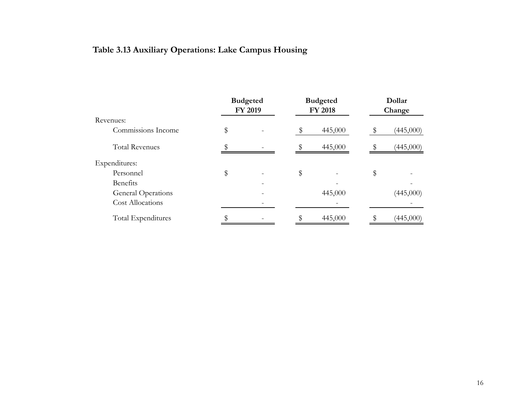### <span id="page-15-0"></span>**Table 3.13 Auxiliary Operations: Lake Campus Housing**

|                           | <b>Budgeted</b><br>FY 2019 |  | <b>Budgeted</b><br><b>FY 2018</b> |    | Dollar<br>Change |  |
|---------------------------|----------------------------|--|-----------------------------------|----|------------------|--|
| Revenues:                 |                            |  |                                   |    |                  |  |
| Commissions Income        | \$                         |  | 445,000                           |    | (445,000)        |  |
| <b>Total Revenues</b>     |                            |  | 445,000                           |    | (445,000)        |  |
| Expenditures:             |                            |  |                                   |    |                  |  |
| Personnel                 | \$                         |  | \$                                | \$ |                  |  |
| Benefits                  |                            |  |                                   |    |                  |  |
| <b>General Operations</b> |                            |  | 445,000                           |    | (445,000)        |  |
| <b>Cost Allocations</b>   |                            |  |                                   |    |                  |  |
| Total Expenditures        |                            |  | 445,000                           |    | (445,000)        |  |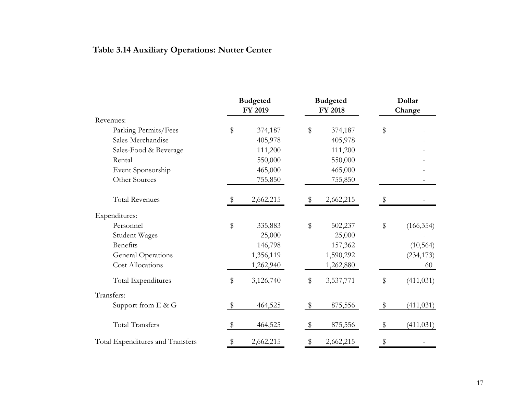### <span id="page-16-0"></span>**Table 3.14 Auxiliary Operations: Nutter Center**

|                                  | <b>Budgeted</b> |           | <b>Budgeted</b> |           | Dollar |            |  |
|----------------------------------|-----------------|-----------|-----------------|-----------|--------|------------|--|
|                                  |                 | FY 2019   |                 | FY 2018   |        | Change     |  |
| Revenues:                        |                 |           |                 |           |        |            |  |
| Parking Permits/Fees             | \$              | 374,187   | \$              | 374,187   | \$     |            |  |
| Sales-Merchandise                |                 | 405,978   |                 | 405,978   |        |            |  |
| Sales-Food & Beverage            |                 | 111,200   |                 | 111,200   |        |            |  |
| Rental                           |                 | 550,000   |                 | 550,000   |        |            |  |
| Event Sponsorship                |                 | 465,000   |                 | 465,000   |        |            |  |
| Other Sources                    |                 | 755,850   |                 | 755,850   |        |            |  |
| <b>Total Revenues</b>            |                 | 2,662,215 |                 | 2,662,215 |        |            |  |
| Expenditures:                    |                 |           |                 |           |        |            |  |
| Personnel                        | \$              | 335,883   | $\$\$           | 502,237   | \$     | (166, 354) |  |
| <b>Student Wages</b>             |                 | 25,000    |                 | 25,000    |        |            |  |
| Benefits                         |                 | 146,798   |                 | 157,362   |        | (10, 564)  |  |
| <b>General Operations</b>        |                 | 1,356,119 |                 | 1,590,292 |        | (234, 173) |  |
| Cost Allocations                 |                 | 1,262,940 |                 | 1,262,880 |        | 60         |  |
| Total Expenditures               | \$              | 3,126,740 | \$              | 3,537,771 | \$     | (411, 031) |  |
| Transfers:                       |                 |           |                 |           |        |            |  |
| Support from $E \& G$            | \$              | 464,525   | \$              | 875,556   | \$     | (411, 031) |  |
| <b>Total Transfers</b>           | \$              | 464,525   | \$              | 875,556   | \$     | (411, 031) |  |
| Total Expenditures and Transfers | \$              | 2,662,215 |                 | 2,662,215 | \$     |            |  |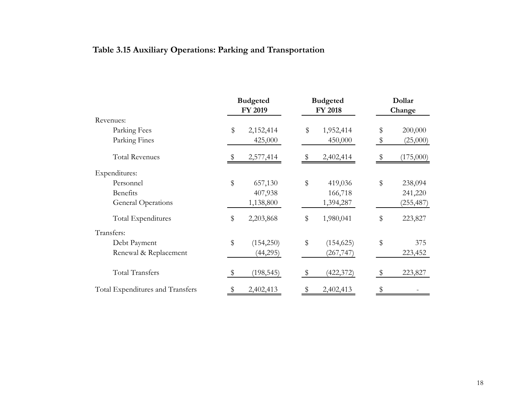### <span id="page-17-0"></span>**Table 3.15 Auxiliary Operations: Parking and Transportation**

|                                  | <b>Budgeted</b><br>FY 2019 |            | <b>Budgeted</b><br><b>FY 2018</b> |    | Dollar<br>Change |
|----------------------------------|----------------------------|------------|-----------------------------------|----|------------------|
| Revenues:                        |                            |            |                                   |    |                  |
| Parking Fees                     | \$                         | 2,152,414  | \$<br>1,952,414                   | \$ | 200,000          |
| Parking Fines                    |                            | 425,000    | 450,000                           | \$ | (25,000)         |
| <b>Total Revenues</b>            |                            | 2,577,414  | 2,402,414                         |    | (175,000)        |
| Expenditures:                    |                            |            |                                   |    |                  |
| Personnel                        | \$                         | 657,130    | \$<br>419,036                     | \$ | 238,094          |
| <b>Benefits</b>                  |                            | 407,938    | 166,718                           |    | 241,220          |
| General Operations               |                            | 1,138,800  | 1,394,287                         |    | (255, 487)       |
| Total Expenditures               | \$                         | 2,203,868  | \$<br>1,980,041                   | \$ | 223,827          |
| Transfers:                       |                            |            |                                   |    |                  |
| Debt Payment                     | \$                         | (154, 250) | \$<br>(154, 625)                  | \$ | 375              |
| Renewal & Replacement            |                            | (44,295)   | (267, 747)                        |    | 223,452          |
| <b>Total Transfers</b>           | $\frac{1}{2}$              | (198, 545) | \$<br>(422, 372)                  | \$ | 223,827          |
| Total Expenditures and Transfers |                            | 2,402,413  | 2,402,413                         | \$ |                  |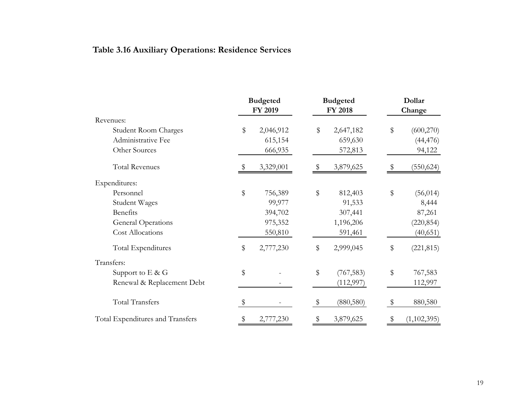### <span id="page-18-0"></span>**Table 3.16 Auxiliary Operations: Residence Services**

|                                  | <b>Budgeted</b><br>FY 2019 | <b>Budgeted</b><br>FY 2018 |            | Dollar<br>Change |  |
|----------------------------------|----------------------------|----------------------------|------------|------------------|--|
| Revenues:                        |                            |                            |            |                  |  |
| <b>Student Room Charges</b>      | \$<br>2,046,912            | \$                         | 2,647,182  | \$<br>(600, 270) |  |
| Administrative Fee               | 615,154                    |                            | 659,630    | (44, 476)        |  |
| Other Sources                    | 666,935                    |                            | 572,813    | 94,122           |  |
| <b>Total Revenues</b>            | 3,329,001                  |                            | 3,879,625  | (550, 624)       |  |
| Expenditures:                    |                            |                            |            |                  |  |
| Personnel                        | \$<br>756,389              | \$                         | 812,403    | \$<br>(56, 014)  |  |
| Student Wages                    | 99,977                     |                            | 91,533     | 8,444            |  |
| Benefits                         | 394,702                    |                            | 307,441    | 87,261           |  |
| <b>General Operations</b>        | 975,352                    |                            | 1,196,206  | (220, 854)       |  |
| <b>Cost Allocations</b>          | 550,810                    |                            | 591,461    | (40, 651)        |  |
| Total Expenditures               | \$<br>2,777,230            | \$                         | 2,999,045  | \$<br>(221, 815) |  |
| Transfers:                       |                            |                            |            |                  |  |
| Support to $E \& G$              | \$                         | \$                         | (767, 583) | \$<br>767,583    |  |
| Renewal & Replacement Debt       |                            |                            | (112, 997) | 112,997          |  |
| <b>Total Transfers</b>           | \$                         | \$                         | (880, 580) | \$<br>880,580    |  |
| Total Expenditures and Transfers | 2,777,230                  |                            | 3,879,625  | (1, 102, 395)    |  |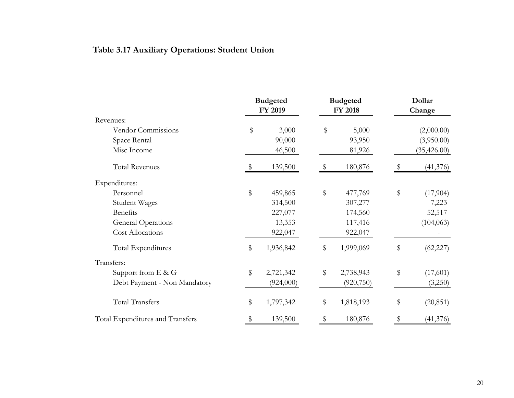### <span id="page-19-0"></span>**Table 3.17 Auxiliary Operations: Student Union**

|                                  | <b>Budgeted</b><br>FY 2019 | <b>Budgeted</b><br><b>FY 2018</b> |            |              | Dollar<br>Change |  |
|----------------------------------|----------------------------|-----------------------------------|------------|--------------|------------------|--|
| Revenues:                        |                            |                                   |            |              |                  |  |
| Vendor Commissions               | \$<br>3,000                | \$                                | 5,000      |              | (2,000.00)       |  |
| Space Rental                     | 90,000                     |                                   | 93,950     |              | (3,950.00)       |  |
| Misc Income                      | 46,500                     |                                   | 81,926     |              | (35, 426.00)     |  |
| <b>Total Revenues</b>            | 139,500                    |                                   | 180,876    |              | (41, 376)        |  |
| Expenditures:                    |                            |                                   |            |              |                  |  |
| Personnel                        | \$<br>459,865              | \$                                | 477,769    | \$           | (17,904)         |  |
| Student Wages                    | 314,500                    |                                   | 307,277    |              | 7,223            |  |
| Benefits                         | 227,077                    |                                   | 174,560    |              | 52,517           |  |
| <b>General Operations</b>        | 13,353                     |                                   | 117,416    |              | (104, 063)       |  |
| Cost Allocations                 | 922,047                    |                                   | 922,047    |              |                  |  |
| Total Expenditures               | \$<br>1,936,842            | \$                                | 1,999,069  | \$           | (62, 227)        |  |
| Transfers:                       |                            |                                   |            |              |                  |  |
| Support from $E$ & $G$           | \$<br>2,721,342            | \$                                | 2,738,943  | \$           | (17,601)         |  |
| Debt Payment - Non Mandatory     | (924,000)                  |                                   | (920, 750) |              | (3,250)          |  |
| <b>Total Transfers</b>           | 1,797,342                  | \$                                | 1,818,193  | $\mathbf{E}$ | (20, 851)        |  |
| Total Expenditures and Transfers | 139,500                    |                                   | 180,876    |              | (41, 376)        |  |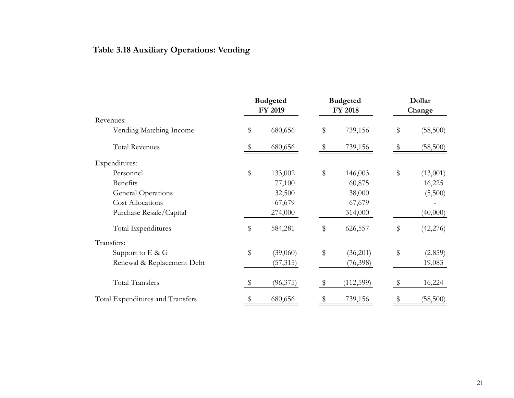### <span id="page-20-0"></span>**Table 3.18 Auxiliary Operations: Vending**

|                                  |                           | <b>Budgeted</b><br>FY 2019 | <b>Budgeted</b><br><b>FY 2018</b> |           | Dollar<br>Change |  |
|----------------------------------|---------------------------|----------------------------|-----------------------------------|-----------|------------------|--|
| Revenues:                        |                           |                            |                                   |           |                  |  |
| Vending Matching Income          | $\boldsymbol{\mathsf{S}}$ | 680,656                    | \$                                | 739,156   | \$<br>(58, 500)  |  |
| <b>Total Revenues</b>            |                           | 680,656                    |                                   | 739,156   | (58, 500)        |  |
| Expenditures:                    |                           |                            |                                   |           |                  |  |
| Personnel                        | \$                        | 133,002                    | $\$\$                             | 146,003   | \$<br>(13,001)   |  |
| <b>Benefits</b>                  |                           | 77,100                     |                                   | 60,875    | 16,225           |  |
| General Operations               |                           | 32,500                     |                                   | 38,000    | (5,500)          |  |
| <b>Cost Allocations</b>          |                           | 67,679                     |                                   | 67,679    |                  |  |
| Purchase Resale/Capital          |                           | 274,000                    |                                   | 314,000   | (40,000)         |  |
| Total Expenditures               | \$                        | 584,281                    | \$                                | 626,557   | \$<br>(42, 276)  |  |
| Transfers:                       |                           |                            |                                   |           |                  |  |
| Support to $E \& G$              | \$                        | (39,060)                   | \$                                | (36,201)  | \$<br>(2,859)    |  |
| Renewal & Replacement Debt       |                           | (57, 315)                  |                                   | (76,398)  | 19,083           |  |
| Total Transfers                  | \$                        | (96, 375)                  | $\mathcal{S}$                     | (112,599) | \$<br>16,224     |  |
| Total Expenditures and Transfers |                           | 680,656                    |                                   | 739,156   | \$<br>(58, 500)  |  |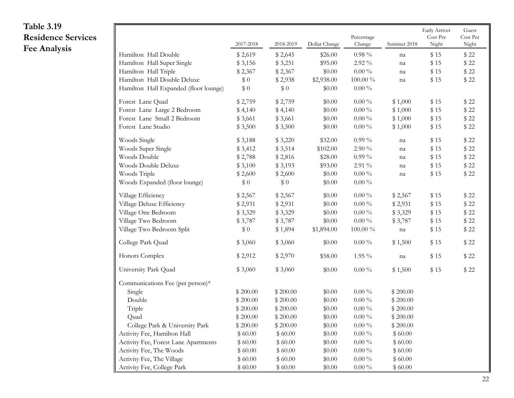<span id="page-21-0"></span>

| Table 3.19                |                                       |           |           |               |              |             | Early Arriver   | Guest    |
|---------------------------|---------------------------------------|-----------|-----------|---------------|--------------|-------------|-----------------|----------|
| <b>Residence Services</b> |                                       |           |           |               | Percentage   |             | $\rm Cost\,Per$ | Cost Per |
| <b>Fee Analysis</b>       |                                       | 2017-2018 | 2018-2019 | Dollar Change | Change       | Summer 2018 | Night           | Night    |
|                           | Hamilton Hall Double                  | \$2,619   | \$2,645   | \$26.00       | $0.98\,\%$   | na          | \$15            | \$22     |
|                           | Hamilton Hall Super Single            | \$3,156   | \$3,251   | \$95.00       | $2.92\;\%$   | na          | \$15            | \$22     |
|                           | Hamilton Hall Triple                  | \$2,367   | \$2,367   | \$0.00        | $0.00\%$     | na          | \$15            | \$22     |
|                           | Hamilton Hall Double Deluxe           | \$0       | \$2,938   | \$2,938.00    | $100.00\,\%$ | na          | \$15            | \$22     |
|                           | Hamilton Hall Expanded (floor lounge) | \$0       | \$0       | \$0.00        | $0.00\,\%$   |             |                 |          |
|                           | Forest Lane Quad                      | \$2,759   | \$2,759   | \$0.00        | $0.00\,\%$   | \$1,000     | \$15            | \$22     |
|                           | Forest Lane Large 2 Bedroom           | \$4,140   | \$4,140   | \$0.00        | $0.00\%$     | \$1,000     | \$15            | \$22     |
|                           | Forest Lane Small 2 Bedroom           | \$3,661   | \$3,661   | \$0.00        | $0.00\%$     | \$1,000     | \$15            | \$22     |
|                           | Forest Lane Studio                    | \$3,500   | \$3,500   | \$0.00        | $0.00\,\,\%$ | \$1,000     | \$15            | \$22     |
|                           | Woods Single                          | \$3,188   | \$3,220   | \$32.00       | $0.99\%$     | na          | \$15            | \$22     |
|                           | Woods Super Single                    | \$3,412   | \$3,514   | \$102.00      | $2.90\;\%$   | na          | \$15            | \$22     |
|                           | Woods Double                          | \$2,788   | \$2,816   | \$28.00       | $0.99\%$     | na          | \$15            | \$22     |
|                           | Woods Double Deluxe                   | \$3,100   | \$3,193   | \$93.00       | $2.91\%$     | na          | \$15            | \$22     |
|                           | Woods Triple                          | \$2,600   | \$2,600   | \$0.00        | $0.00\,\,\%$ | na          | \$15            | \$22     |
|                           | Woods Expanded (floor lounge)         | \$0       | \$0       | \$0.00        | $0.00\,\,\%$ |             |                 |          |
|                           | Village Efficiency                    | \$2,567   | \$2,567   | \$0.00        | $0.00\,\,\%$ | \$2,567     | \$15            | \$22     |
|                           | Village Deluxe Efficiency             | \$2,931   | \$2,931   | \$0.00        | $0.00\%$     | \$2,931     | \$15            | \$22     |
|                           | Village One Bedroom                   | \$3,329   | \$3,329   | \$0.00        | $0.00\,\%$   | \$3,329     | \$15            | \$22     |
|                           | Village Two Bedroom                   | \$3,787   | \$3,787   | \$0.00        | $0.00\,\%$   | \$3,787     | \$15            | \$22     |
|                           | Village Two Bedroom Split             | \$0       | \$1,894   | \$1,894.00    | $100.00\%$   | na          | \$15            | \$22     |
|                           | College Park Quad                     | \$3,060   | \$3,060   | \$0.00        | $0.00\,\%$   | \$1,500     | \$15            | \$22     |
|                           | Honors Complex                        | \$2,912   | \$2,970   | \$58.00       | $1.95\%$     | na          | \$15            | \$22     |
|                           | University Park Quad                  | \$3,060   | \$3,060   | \$0.00        | $0.00\,\%$   | \$1,500     | \$15            | \$22     |
|                           | Communications Fee (per person)*      |           |           |               |              |             |                 |          |
|                           | Single                                | \$200.00  | \$200.00  | \$0.00        | $0.00\%$     | \$200.00    |                 |          |
|                           | Double                                | \$200.00  | \$200.00  | \$0.00        | $0.00\,\%$   | \$200.00    |                 |          |
|                           | Triple                                | \$200.00  | \$200.00  | \$0.00        | $0.00\,\%$   | \$200.00    |                 |          |
|                           | Quad                                  | \$200.00  | \$200.00  | \$0.00        | $0.00\,\%$   | \$200.00    |                 |          |
|                           | College Park & University Park        | \$200.00  | \$200.00  | \$0.00        | $0.00\,\%$   | \$200.00    |                 |          |
|                           | Activity Fee, Hamilton Hall           | \$60.00   | \$60.00   | \$0.00        | $0.00\,\%$   | \$60.00     |                 |          |
|                           | Activity Fee, Forest Lane Apartments  | \$60.00   | \$60.00   | \$0.00        | $0.00\,\%$   | \$60.00     |                 |          |
|                           | Activity Fee, The Woods               | \$60.00   | \$60.00   | \$0.00        | $0.00\,\%$   | \$60.00     |                 |          |
|                           | Activity Fee, The Village             | \$60.00   | \$60.00   | \$0.00        | $0.00\,\%$   | \$60.00     |                 |          |
|                           | Activity Fee, College Park            | \$60.00   | \$60.00   | \$0.00        | $0.00\,\,\%$ | \$60.00     |                 |          |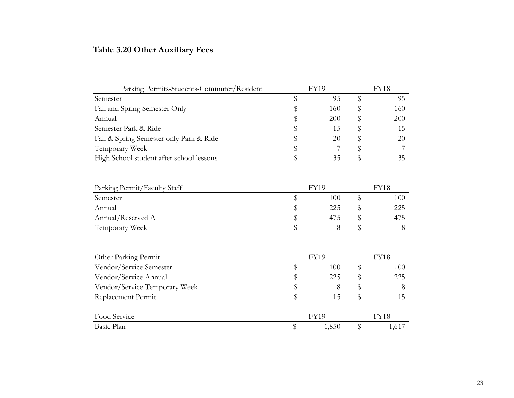#### <span id="page-22-0"></span>**Table 3.20 Other Auxiliary Fees**

| Parking Permits-Students-Commuter/Resident |   | FY19 | FY18 |     |  |
|--------------------------------------------|---|------|------|-----|--|
| Semester                                   |   | 95   |      | 95  |  |
| Fall and Spring Semester Only              | Ъ | 160  |      | 160 |  |
| Annual                                     | 5 | 200  |      | 200 |  |
| Semester Park & Ride                       |   | 15   |      | 15  |  |
| Fall & Spring Semester only Park & Ride    |   | 20   | Ж    | 20  |  |
| Temporary Week                             |   |      |      |     |  |
| High School student after school lessons   |   | 35   |      | 35  |  |

| Parking Permit/Faculty Staff | FY19 |     |  | FY18 |  |  |
|------------------------------|------|-----|--|------|--|--|
| Semester                     |      | 100 |  | 100  |  |  |
| Annual                       |      | 225 |  | 225  |  |  |
| Annual/Reserved A            |      | 475 |  | 475  |  |  |
| Temporary Week               |      |     |  |      |  |  |

| Other Parking Permit          | <b>FY19</b> |             |  | <b>FY18</b> |  |  |
|-------------------------------|-------------|-------------|--|-------------|--|--|
| Vendor/Service Semester       |             | 100         |  | 100         |  |  |
| Vendor/Service Annual         | \$          | 225         |  | 225         |  |  |
| Vendor/Service Temporary Week | Ֆ           | 8           |  |             |  |  |
| Replacement Permit            | \$          | 15          |  | 15          |  |  |
| Food Service                  |             | <b>FY19</b> |  | FY18        |  |  |
| Basic Plan                    |             | 1,850       |  | 1,617       |  |  |